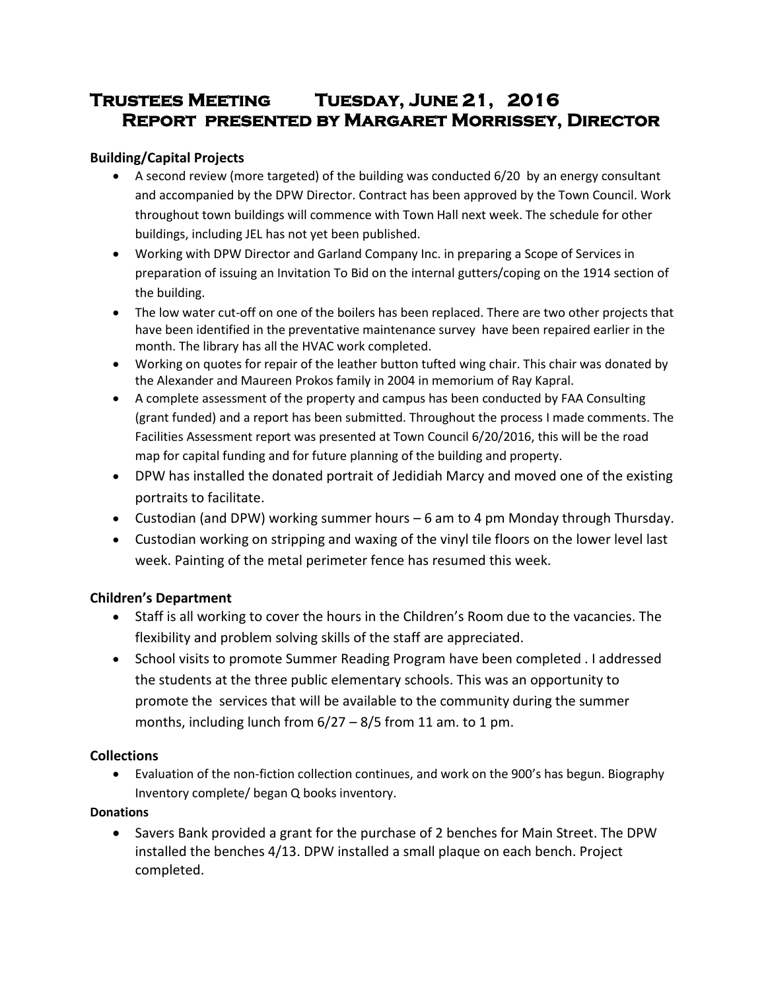# **Trustees Meeting Tuesday, June 21, 2016 Report presented by Margaret Morrissey, Director**

# **Building/Capital Projects**

- A second review (more targeted) of the building was conducted 6/20 by an energy consultant and accompanied by the DPW Director. Contract has been approved by the Town Council. Work throughout town buildings will commence with Town Hall next week. The schedule for other buildings, including JEL has not yet been published.
- Working with DPW Director and Garland Company Inc. in preparing a Scope of Services in preparation of issuing an Invitation To Bid on the internal gutters/coping on the 1914 section of the building.
- The low water cut-off on one of the boilers has been replaced. There are two other projects that have been identified in the preventative maintenance survey have been repaired earlier in the month. The library has all the HVAC work completed.
- Working on quotes for repair of the leather button tufted wing chair. This chair was donated by the Alexander and Maureen Prokos family in 2004 in memorium of Ray Kapral.
- A complete assessment of the property and campus has been conducted by FAA Consulting (grant funded) and a report has been submitted. Throughout the process I made comments. The Facilities Assessment report was presented at Town Council 6/20/2016, this will be the road map for capital funding and for future planning of the building and property.
- DPW has installed the donated portrait of Jedidiah Marcy and moved one of the existing portraits to facilitate.
- Custodian (and DPW) working summer hours 6 am to 4 pm Monday through Thursday.
- Custodian working on stripping and waxing of the vinyl tile floors on the lower level last week. Painting of the metal perimeter fence has resumed this week.

# **Children's Department**

- Staff is all working to cover the hours in the Children's Room due to the vacancies. The flexibility and problem solving skills of the staff are appreciated.
- School visits to promote Summer Reading Program have been completed . I addressed the students at the three public elementary schools. This was an opportunity to promote the services that will be available to the community during the summer months, including lunch from  $6/27 - 8/5$  from 11 am. to 1 pm.

### **Collections**

 Evaluation of the non-fiction collection continues, and work on the 900's has begun. Biography Inventory complete/ began Q books inventory.

### **Donations**

 Savers Bank provided a grant for the purchase of 2 benches for Main Street. The DPW installed the benches 4/13. DPW installed a small plaque on each bench. Project completed.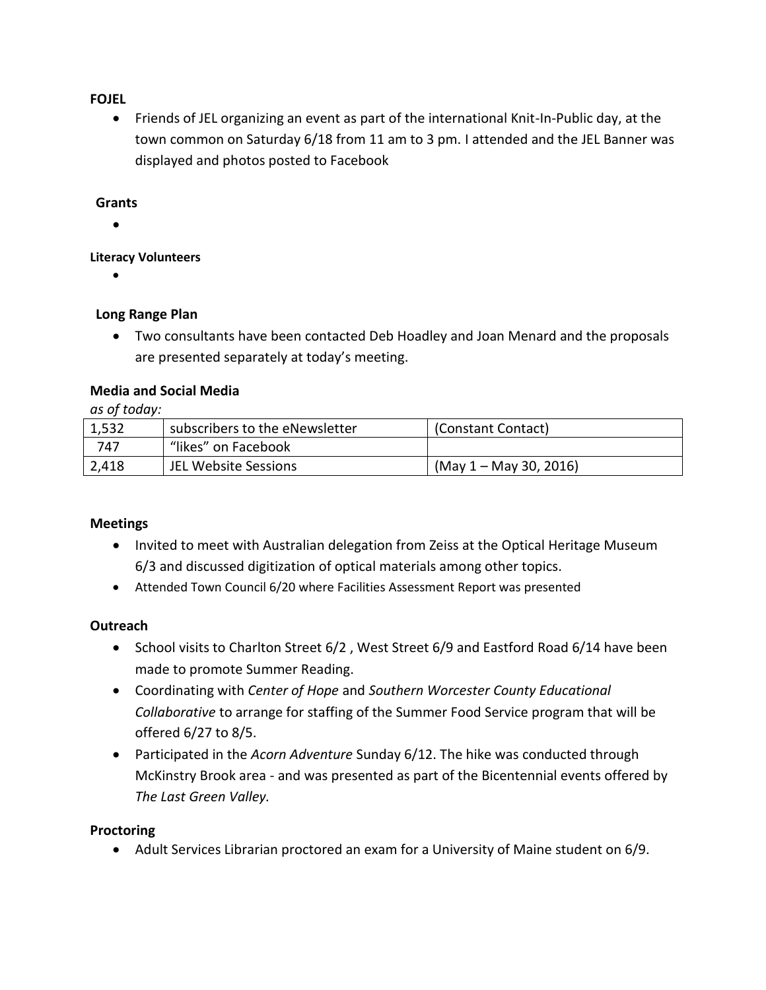### **FOJEL**

 Friends of JEL organizing an event as part of the international Knit-In-Public day, at the town common on Saturday 6/18 from 11 am to 3 pm. I attended and the JEL Banner was displayed and photos posted to Facebook

#### **Grants**

 $\bullet$ 

#### **Literacy Volunteers**

 $\bullet$ 

#### **Long Range Plan**

 Two consultants have been contacted Deb Hoadley and Joan Menard and the proposals are presented separately at today's meeting.

#### **Media and Social Media**

### *as of today:*

| 1,532 | subscribers to the eNewsletter | (Constant Contact)       |
|-------|--------------------------------|--------------------------|
| 747   | "likes" on Facebook            |                          |
| 2,418 | JEL Website Sessions           | $(May 1 - May 30, 2016)$ |

#### **Meetings**

- Invited to meet with Australian delegation from Zeiss at the Optical Heritage Museum 6/3 and discussed digitization of optical materials among other topics.
- Attended Town Council 6/20 where Facilities Assessment Report was presented

#### **Outreach**

- School visits to Charlton Street 6/2, West Street 6/9 and Eastford Road 6/14 have been made to promote Summer Reading.
- Coordinating with *Center of Hope* and *Southern Worcester County Educational Collaborative* to arrange for staffing of the Summer Food Service program that will be offered 6/27 to 8/5.
- Participated in the *Acorn Adventure* Sunday 6/12. The hike was conducted through McKinstry Brook area - and was presented as part of the Bicentennial events offered by *The Last Green Valley.*

#### **Proctoring**

Adult Services Librarian proctored an exam for a University of Maine student on 6/9.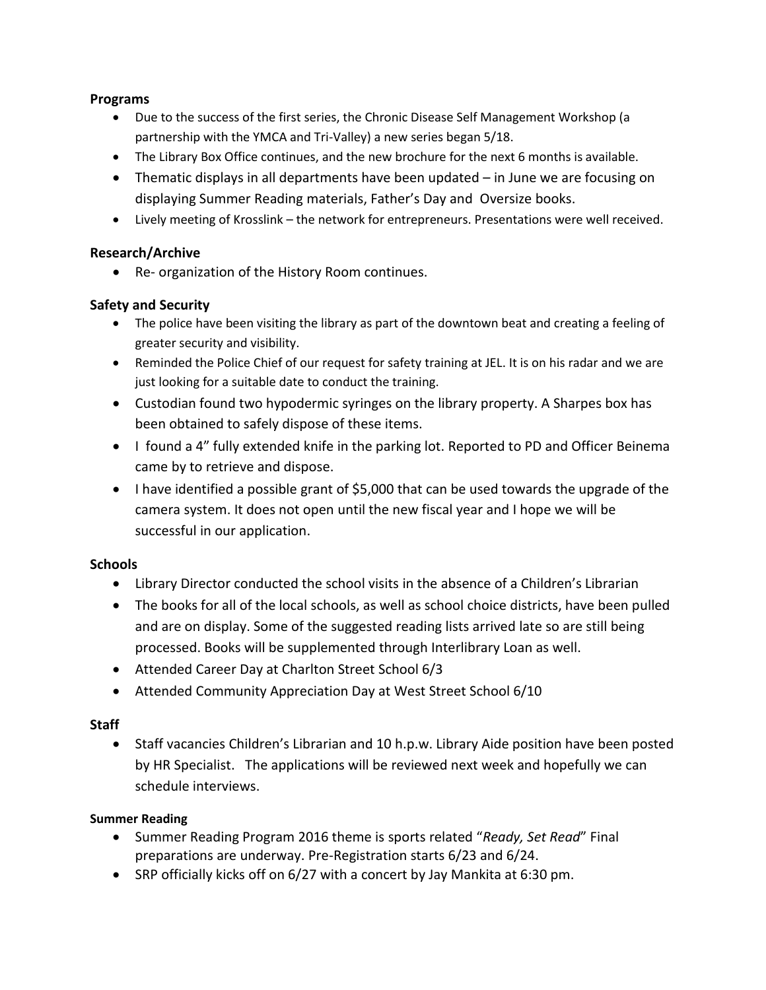### **Programs**

- Due to the success of the first series, the Chronic Disease Self Management Workshop (a partnership with the YMCA and Tri-Valley) a new series began 5/18.
- The Library Box Office continues, and the new brochure for the next 6 months is available.
- Thematic displays in all departments have been updated in June we are focusing on displaying Summer Reading materials, Father's Day and Oversize books.
- Lively meeting of Krosslink the network for entrepreneurs. Presentations were well received.

# **Research/Archive**

Re- organization of the History Room continues.

# **Safety and Security**

- The police have been visiting the library as part of the downtown beat and creating a feeling of greater security and visibility.
- Reminded the Police Chief of our request for safety training at JEL. It is on his radar and we are just looking for a suitable date to conduct the training.
- Custodian found two hypodermic syringes on the library property. A Sharpes box has been obtained to safely dispose of these items.
- I found a 4" fully extended knife in the parking lot. Reported to PD and Officer Beinema came by to retrieve and dispose.
- I have identified a possible grant of \$5,000 that can be used towards the upgrade of the camera system. It does not open until the new fiscal year and I hope we will be successful in our application.

# **Schools**

- Library Director conducted the school visits in the absence of a Children's Librarian
- The books for all of the local schools, as well as school choice districts, have been pulled and are on display. Some of the suggested reading lists arrived late so are still being processed. Books will be supplemented through Interlibrary Loan as well.
- Attended Career Day at Charlton Street School 6/3
- Attended Community Appreciation Day at West Street School 6/10

# **Staff**

 Staff vacancies Children's Librarian and 10 h.p.w. Library Aide position have been posted by HR Specialist. The applications will be reviewed next week and hopefully we can schedule interviews.

### **Summer Reading**

- Summer Reading Program 2016 theme is sports related "*Ready, Set Read*" Final preparations are underway. Pre-Registration starts 6/23 and 6/24.
- SRP officially kicks off on 6/27 with a concert by Jay Mankita at 6:30 pm.